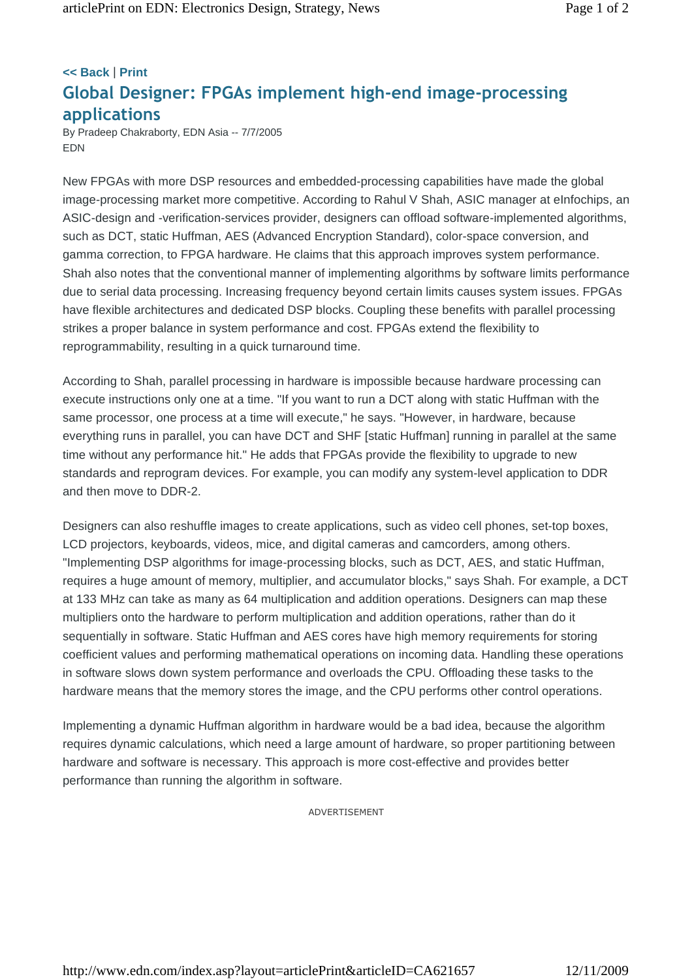## **<< Back** | **Print Global Designer: FPGAs implement high-end image-processing applications**

By Pradeep Chakraborty, EDN Asia -- 7/7/2005 EDN

New FPGAs with more DSP resources and embedded-processing capabilities have made the global image-processing market more competitive. According to Rahul V Shah, ASIC manager at eInfochips, an ASIC-design and -verification-services provider, designers can offload software-implemented algorithms, such as DCT, static Huffman, AES (Advanced Encryption Standard), color-space conversion, and gamma correction, to FPGA hardware. He claims that this approach improves system performance. Shah also notes that the conventional manner of implementing algorithms by software limits performance due to serial data processing. Increasing frequency beyond certain limits causes system issues. FPGAs have flexible architectures and dedicated DSP blocks. Coupling these benefits with parallel processing strikes a proper balance in system performance and cost. FPGAs extend the flexibility to reprogrammability, resulting in a quick turnaround time.

According to Shah, parallel processing in hardware is impossible because hardware processing can execute instructions only one at a time. "If you want to run a DCT along with static Huffman with the same processor, one process at a time will execute," he says. "However, in hardware, because everything runs in parallel, you can have DCT and SHF [static Huffman] running in parallel at the same time without any performance hit." He adds that FPGAs provide the flexibility to upgrade to new standards and reprogram devices. For example, you can modify any system-level application to DDR and then move to DDR-2.

Designers can also reshuffle images to create applications, such as video cell phones, set-top boxes, LCD projectors, keyboards, videos, mice, and digital cameras and camcorders, among others. "Implementing DSP algorithms for image-processing blocks, such as DCT, AES, and static Huffman, requires a huge amount of memory, multiplier, and accumulator blocks," says Shah. For example, a DCT at 133 MHz can take as many as 64 multiplication and addition operations. Designers can map these multipliers onto the hardware to perform multiplication and addition operations, rather than do it sequentially in software. Static Huffman and AES cores have high memory requirements for storing coefficient values and performing mathematical operations on incoming data. Handling these operations in software slows down system performance and overloads the CPU. Offloading these tasks to the hardware means that the memory stores the image, and the CPU performs other control operations.

Implementing a dynamic Huffman algorithm in hardware would be a bad idea, because the algorithm requires dynamic calculations, which need a large amount of hardware, so proper partitioning between hardware and software is necessary. This approach is more cost-effective and provides better performance than running the algorithm in software.

ADVERTISEMENT